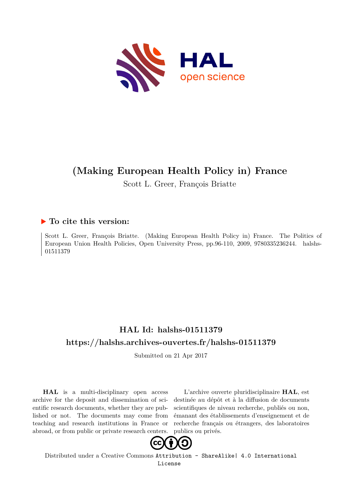

# **(Making European Health Policy in) France**

Scott L. Greer, François Briatte

## **To cite this version:**

Scott L. Greer, François Briatte. (Making European Health Policy in) France. The Politics of European Union Health Policies, Open University Press, pp.96-110, 2009, 9780335236244. halshs-01511379ff

## **HAL Id: halshs-01511379 <https://halshs.archives-ouvertes.fr/halshs-01511379>**

Submitted on 21 Apr 2017

**HAL** is a multi-disciplinary open access archive for the deposit and dissemination of scientific research documents, whether they are published or not. The documents may come from teaching and research institutions in France or abroad, or from public or private research centers.

L'archive ouverte pluridisciplinaire **HAL**, est destinée au dépôt et à la diffusion de documents scientifiques de niveau recherche, publiés ou non, émanant des établissements d'enseignement et de recherche français ou étrangers, des laboratoires publics ou privés.



Distributed under a Creative Commons [Attribution - ShareAlike| 4.0 International](http://creativecommons.org/licenses/by-sa/4.0/) [License](http://creativecommons.org/licenses/by-sa/4.0/)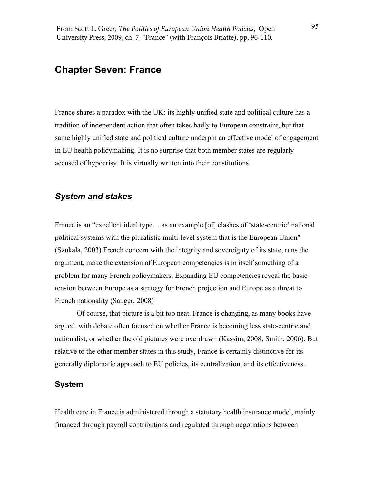## **Chapter Seven: France**

France shares a paradox with the UK: its highly unified state and political culture has a tradition of independent action that often takes badly to European constraint, but that same highly unified state and political culture underpin an effective model of engagement in EU health policymaking. It is no surprise that both member states are regularly accused of hypocrisy. It is virtually written into their constitutions.

### *System and stakes*

France is an "excellent ideal type... as an example [of] clashes of 'state-centric' national political systems with the pluralistic multi-level system that is the European Union" (Szukala, 2003) French concern with the integrity and sovereignty of its state, runs the argument, make the extension of European competencies is in itself something of a problem for many French policymakers. Expanding EU competencies reveal the basic tension between Europe as a strategy for French projection and Europe as a threat to French nationality (Sauger, 2008)

Of course, that picture is a bit too neat. France is changing, as many books have argued, with debate often focused on whether France is becoming less state-centric and nationalist, or whether the old pictures were overdrawn (Kassim, 2008; Smith, 2006). But relative to the other member states in this study, France is certainly distinctive for its generally diplomatic approach to EU policies, its centralization, and its effectiveness.

#### **System**

Health care in France is administered through a statutory health insurance model, mainly financed through payroll contributions and regulated through negotiations between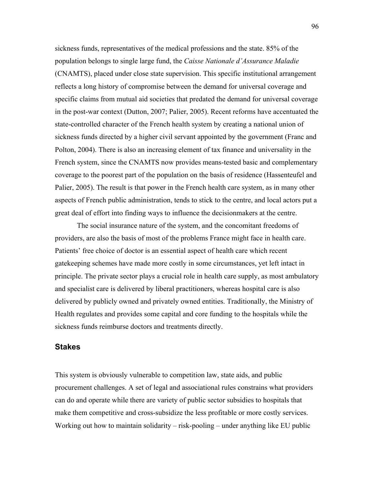sickness funds, representatives of the medical professions and the state. 85% of the population belongs to single large fund, the *Caisse Nationale d'Assurance Maladie*  (CNAMTS), placed under close state supervision. This specific institutional arrangement reflects a long history of compromise between the demand for universal coverage and specific claims from mutual aid societies that predated the demand for universal coverage in the post-war context (Dutton, 2007; Palier, 2005). Recent reforms have accentuated the state-controlled character of the French health system by creating a national union of sickness funds directed by a higher civil servant appointed by the government (Franc and Polton, 2004). There is also an increasing element of tax finance and universality in the French system, since the CNAMTS now provides means-tested basic and complementary coverage to the poorest part of the population on the basis of residence (Hassenteufel and Palier, 2005). The result is that power in the French health care system, as in many other aspects of French public administration, tends to stick to the centre, and local actors put a great deal of effort into finding ways to influence the decisionmakers at the centre.

The social insurance nature of the system, and the concomitant freedoms of providers, are also the basis of most of the problems France might face in health care. Patients' free choice of doctor is an essential aspect of health care which recent gatekeeping schemes have made more costly in some circumstances, yet left intact in principle. The private sector plays a crucial role in health care supply, as most ambulatory and specialist care is delivered by liberal practitioners, whereas hospital care is also delivered by publicly owned and privately owned entities. Traditionally, the Ministry of Health regulates and provides some capital and core funding to the hospitals while the sickness funds reimburse doctors and treatments directly.

#### **Stakes**

This system is obviously vulnerable to competition law, state aids, and public procurement challenges. A set of legal and associational rules constrains what providers can do and operate while there are variety of public sector subsidies to hospitals that make them competitive and cross-subsidize the less profitable or more costly services. Working out how to maintain solidarity – risk-pooling – under anything like EU public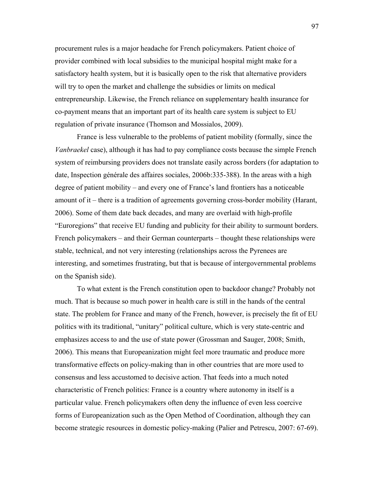procurement rules is a major headache for French policymakers. Patient choice of provider combined with local subsidies to the municipal hospital might make for a satisfactory health system, but it is basically open to the risk that alternative providers will try to open the market and challenge the subsidies or limits on medical entrepreneurship. Likewise, the French reliance on supplementary health insurance for co-payment means that an important part of its health care system is subject to EU regulation of private insurance (Thomson and Mossialos, 2009).

France is less vulnerable to the problems of patient mobility (formally, since the *Vanbraekel* case), although it has had to pay compliance costs because the simple French system of reimbursing providers does not translate easily across borders (for adaptation to date, Inspection générale des affaires sociales, 2006b:335-388). In the areas with a high degree of patient mobility – and every one of France's land frontiers has a noticeable amount of it – there is a tradition of agreements governing cross-border mobility (Harant, 2006). Some of them date back decades, and many are overlaid with high-profile "Euroregions" that receive EU funding and publicity for their ability to surmount borders. French policymakers – and their German counterparts – thought these relationships were stable, technical, and not very interesting (relationships across the Pyrenees are interesting, and sometimes frustrating, but that is because of intergovernmental problems on the Spanish side).

To what extent is the French constitution open to backdoor change? Probably not much. That is because so much power in health care is still in the hands of the central state. The problem for France and many of the French, however, is precisely the fit of EU politics with its traditional, "unitary" political culture, which is very state-centric and emphasizes access to and the use of state power (Grossman and Sauger, 2008; Smith, 2006). This means that Europeanization might feel more traumatic and produce more transformative effects on policy-making than in other countries that are more used to consensus and less accustomed to decisive action. That feeds into a much noted characteristic of French politics: France is a country where autonomy in itself is a particular value. French policymakers often deny the influence of even less coercive forms of Europeanization such as the Open Method of Coordination, although they can become strategic resources in domestic policy-making (Palier and Petrescu, 2007: 67-69).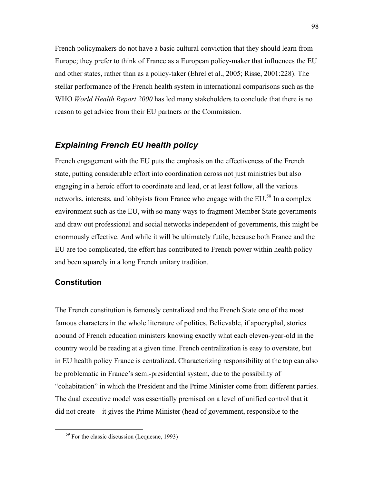French policymakers do not have a basic cultural conviction that they should learn from Europe; they prefer to think of France as a European policy-maker that influences the EU and other states, rather than as a policy-taker (Ehrel et al., 2005; Risse, 2001:228). The stellar performance of the French health system in international comparisons such as the WHO *World Health Report 2000* has led many stakeholders to conclude that there is no reason to get advice from their EU partners or the Commission.

### *Explaining French EU health policy*

French engagement with the EU puts the emphasis on the effectiveness of the French state, putting considerable effort into coordination across not just ministries but also engaging in a heroic effort to coordinate and lead, or at least follow, all the various networks, interests, and lobbyists from France who engage with the EU.<sup>59</sup> In a complex environment such as the EU, with so many ways to fragment Member State governments and draw out professional and social networks independent of governments, this might be enormously effective. And while it will be ultimately futile, because both France and the EU are too complicated, the effort has contributed to French power within health policy and been squarely in a long French unitary tradition.

#### **Constitution**

The French constitution is famously centralized and the French State one of the most famous characters in the whole literature of politics. Believable, if apocryphal, stories abound of French education ministers knowing exactly what each eleven-year-old in the country would be reading at a given time. French centralization is easy to overstate, but in EU health policy France is centralized. Characterizing responsibility at the top can also be problematic in France's semi-presidential system, due to the possibility of "cohabitation" in which the President and the Prime Minister come from different parties. The dual executive model was essentially premised on a level of unified control that it did not create – it gives the Prime Minister (head of government, responsible to the

 $59$  For the classic discussion (Lequesne, 1993)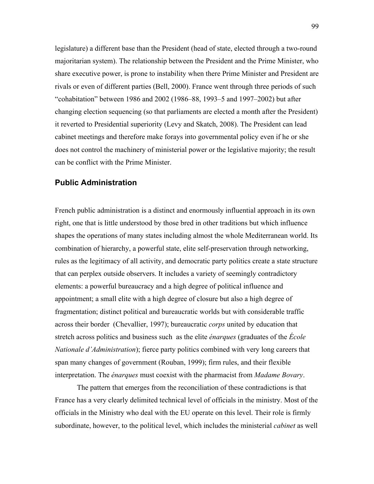legislature) a different base than the President (head of state, elected through a two-round majoritarian system). The relationship between the President and the Prime Minister, who share executive power, is prone to instability when there Prime Minister and President are rivals or even of different parties (Bell, 2000). France went through three periods of such "cohabitation" between 1986 and 2002 (1986–88, 1993–5 and 1997–2002) but after changing election sequencing (so that parliaments are elected a month after the President) it reverted to Presidential superiority (Levy and Skatch, 2008). The President can lead cabinet meetings and therefore make forays into governmental policy even if he or she does not control the machinery of ministerial power or the legislative majority; the result can be conflict with the Prime Minister.

#### **Public Administration**

French public administration is a distinct and enormously influential approach in its own right, one that is little understood by those bred in other traditions but which influence shapes the operations of many states including almost the whole Mediterranean world. Its combination of hierarchy, a powerful state, elite self-preservation through networking, rules as the legitimacy of all activity, and democratic party politics create a state structure that can perplex outside observers. It includes a variety of seemingly contradictory elements: a powerful bureaucracy and a high degree of political influence and appointment; a small elite with a high degree of closure but also a high degree of fragmentation; distinct political and bureaucratic worlds but with considerable traffic across their border (Chevallier, 1997); bureaucratic *corps* united by education that stretch across politics and business such as the elite *énarques* (graduates of the *École Nationale d'Administration*); fierce party politics combined with very long careers that span many changes of government (Rouban, 1999); firm rules, and their flexible interpretation. The *énarques* must coexist with the pharmacist from *Madame Bovary*.

The pattern that emerges from the reconciliation of these contradictions is that France has a very clearly delimited technical level of officials in the ministry. Most of the officials in the Ministry who deal with the EU operate on this level. Their role is firmly subordinate, however, to the political level, which includes the ministerial *cabinet* as well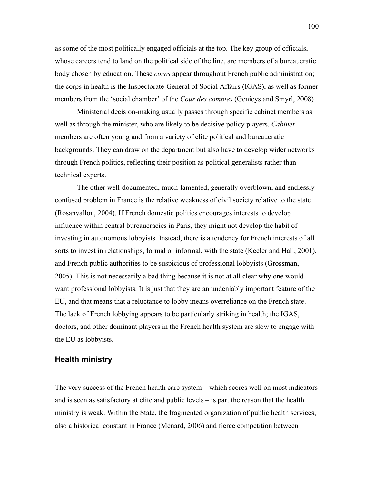as some of the most politically engaged officials at the top. The key group of officials, whose careers tend to land on the political side of the line, are members of a bureaucratic body chosen by education. These *corps* appear throughout French public administration; the corps in health is the Inspectorate-General of Social Affairs (IGAS), as well as former members from the 'social chamber' of the *Cour des comptes* (Genieys and Smyrl, 2008)

Ministerial decision-making usually passes through specific cabinet members as well as through the minister, who are likely to be decisive policy players. *Cabinet* members are often young and from a variety of elite political and bureaucratic backgrounds. They can draw on the department but also have to develop wider networks through French politics, reflecting their position as political generalists rather than technical experts.

The other well-documented, much-lamented, generally overblown, and endlessly confused problem in France is the relative weakness of civil society relative to the state (Rosanvallon, 2004). If French domestic politics encourages interests to develop influence within central bureaucracies in Paris, they might not develop the habit of investing in autonomous lobbyists. Instead, there is a tendency for French interests of all sorts to invest in relationships, formal or informal, with the state (Keeler and Hall, 2001), and French public authorities to be suspicious of professional lobbyists (Grossman, 2005). This is not necessarily a bad thing because it is not at all clear why one would want professional lobbyists. It is just that they are an undeniably important feature of the EU, and that means that a reluctance to lobby means overreliance on the French state. The lack of French lobbying appears to be particularly striking in health; the IGAS, doctors, and other dominant players in the French health system are slow to engage with the EU as lobbyists.

#### **Health ministry**

The very success of the French health care system – which scores well on most indicators and is seen as satisfactory at elite and public levels – is part the reason that the health ministry is weak. Within the State, the fragmented organization of public health services, also a historical constant in France (Ménard, 2006) and fierce competition between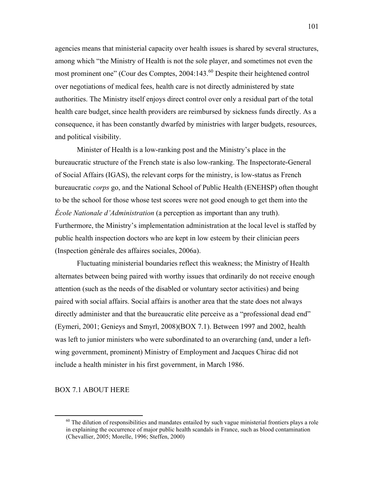agencies means that ministerial capacity over health issues is shared by several structures, among which "the Ministry of Health is not the sole player, and sometimes not even the most prominent one" (Cour des Comptes,  $2004:143<sup>60</sup>$  Despite their heightened control over negotiations of medical fees, health care is not directly administered by state authorities. The Ministry itself enjoys direct control over only a residual part of the total health care budget, since health providers are reimbursed by sickness funds directly. As a consequence, it has been constantly dwarfed by ministries with larger budgets, resources, and political visibility.

Minister of Health is a low-ranking post and the Ministry's place in the bureaucratic structure of the French state is also low-ranking. The Inspectorate-General of Social Affairs (IGAS), the relevant corps for the ministry, is low-status as French bureaucratic *corps* go, and the National School of Public Health (ENEHSP) often thought to be the school for those whose test scores were not good enough to get them into the *École Nationale d'Administration* (a perception as important than any truth). Furthermore, the Ministry's implementation administration at the local level is staffed by public health inspection doctors who are kept in low esteem by their clinician peers (Inspection générale des affaires sociales, 2006a).

Fluctuating ministerial boundaries reflect this weakness; the Ministry of Health alternates between being paired with worthy issues that ordinarily do not receive enough attention (such as the needs of the disabled or voluntary sector activities) and being paired with social affairs. Social affairs is another area that the state does not always directly administer and that the bureaucratic elite perceive as a "professional dead end" (Eymeri, 2001; Genieys and Smyrl, 2008)(BOX 7.1). Between 1997 and 2002, health was left to junior ministers who were subordinated to an overarching (and, under a leftwing government, prominent) Ministry of Employment and Jacques Chirac did not include a health minister in his first government, in March 1986.

#### BOX 7.1 ABOUT HERE

 $60$  The dilution of responsibilities and mandates entailed by such vague ministerial frontiers plays a role in explaining the occurrence of major public health scandals in France, such as blood contamination (Chevallier, 2005; Morelle, 1996; Steffen, 2000)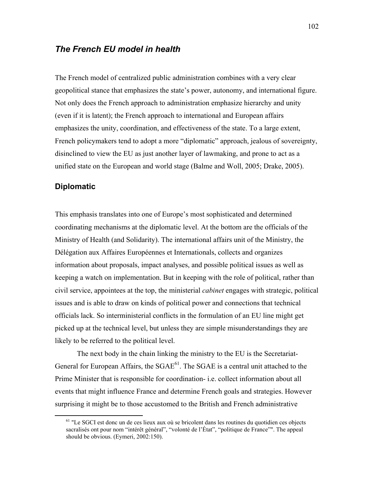#### *The French EU model in health*

The French model of centralized public administration combines with a very clear geopolitical stance that emphasizes the state's power, autonomy, and international figure. Not only does the French approach to administration emphasize hierarchy and unity (even if it is latent); the French approach to international and European affairs emphasizes the unity, coordination, and effectiveness of the state. To a large extent, French policymakers tend to adopt a more "diplomatic" approach, jealous of sovereignty, disinclined to view the EU as just another layer of lawmaking, and prone to act as a unified state on the European and world stage (Balme and Woll, 2005; Drake, 2005).

#### **Diplomatic**

This emphasis translates into one of Europe's most sophisticated and determined coordinating mechanisms at the diplomatic level. At the bottom are the officials of the Ministry of Health (and Solidarity). The international affairs unit of the Ministry, the Délégation aux Affaires Européennes et Internationals, collects and organizes information about proposals, impact analyses, and possible political issues as well as keeping a watch on implementation. But in keeping with the role of political, rather than civil service, appointees at the top, the ministerial *cabinet* engages with strategic, political issues and is able to draw on kinds of political power and connections that technical officials lack. So interministerial conflicts in the formulation of an EU line might get picked up at the technical level, but unless they are simple misunderstandings they are likely to be referred to the political level.

The next body in the chain linking the ministry to the EU is the Secretariat-General for European Affairs, the  $SGAE^{61}$ . The  $SGAE$  is a central unit attached to the Prime Minister that is responsible for coordination- i.e. collect information about all events that might influence France and determine French goals and strategies. However surprising it might be to those accustomed to the British and French administrative

 $<sup>61</sup>$  "Le SGCI est donc un de ces lieux aux où se bricolent dans les routines du quotidien ces objects</sup> sacralisés ont pour nom "intérêt général", "volonté de l'État", "politique de France"". The appeal should be obvious. (Eymeri, 2002:150).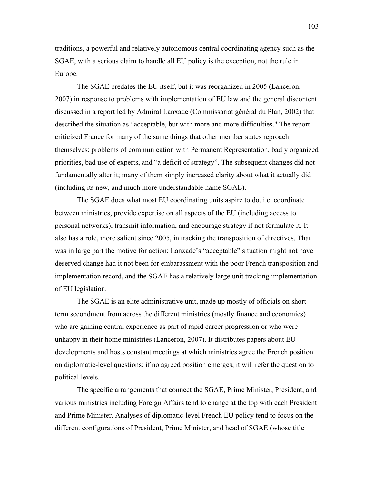traditions, a powerful and relatively autonomous central coordinating agency such as the SGAE, with a serious claim to handle all EU policy is the exception, not the rule in Europe.

The SGAE predates the EU itself, but it was reorganized in 2005 (Lanceron, 2007) in response to problems with implementation of EU law and the general discontent discussed in a report led by Admiral Lanxade (Commissariat général du Plan, 2002) that described the situation as "acceptable, but with more and more difficulties." The report criticized France for many of the same things that other member states reproach themselves: problems of communication with Permanent Representation, badly organized priorities, bad use of experts, and "a deficit of strategy". The subsequent changes did not fundamentally alter it; many of them simply increased clarity about what it actually did (including its new, and much more understandable name SGAE).

The SGAE does what most EU coordinating units aspire to do. i.e. coordinate between ministries, provide expertise on all aspects of the EU (including access to personal networks), transmit information, and encourage strategy if not formulate it. It also has a role, more salient since 2005, in tracking the transposition of directives. That was in large part the motive for action; Lanxade's "acceptable" situation might not have deserved change had it not been for embarassment with the poor French transposition and implementation record, and the SGAE has a relatively large unit tracking implementation of EU legislation.

The SGAE is an elite administrative unit, made up mostly of officials on shortterm secondment from across the different ministries (mostly finance and economics) who are gaining central experience as part of rapid career progression or who were unhappy in their home ministries (Lanceron, 2007). It distributes papers about EU developments and hosts constant meetings at which ministries agree the French position on diplomatic-level questions; if no agreed position emerges, it will refer the question to political levels.

The specific arrangements that connect the SGAE, Prime Minister, President, and various ministries including Foreign Affairs tend to change at the top with each President and Prime Minister. Analyses of diplomatic-level French EU policy tend to focus on the different configurations of President, Prime Minister, and head of SGAE (whose title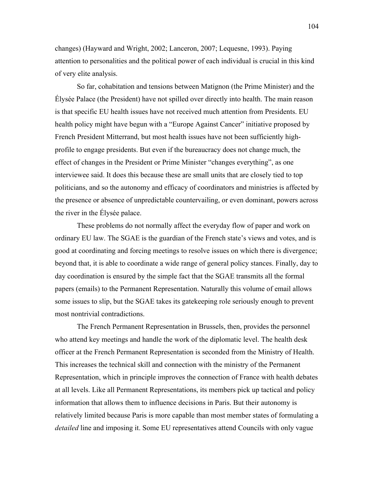changes) (Hayward and Wright, 2002; Lanceron, 2007; Lequesne, 1993). Paying attention to personalities and the political power of each individual is crucial in this kind of very elite analysis.

So far, cohabitation and tensions between Matignon (the Prime Minister) and the Élysée Palace (the President) have not spilled over directly into health. The main reason is that specific EU health issues have not received much attention from Presidents. EU health policy might have begun with a "Europe Against Cancer" initiative proposed by French President Mitterrand, but most health issues have not been sufficiently highprofile to engage presidents. But even if the bureaucracy does not change much, the effect of changes in the President or Prime Minister "changes everything", as one interviewee said. It does this because these are small units that are closely tied to top politicians, and so the autonomy and efficacy of coordinators and ministries is affected by the presence or absence of unpredictable countervailing, or even dominant, powers across the river in the Élysée palace.

These problems do not normally affect the everyday flow of paper and work on ordinary EU law. The SGAE is the guardian of the French state's views and votes, and is good at coordinating and forcing meetings to resolve issues on which there is divergence; beyond that, it is able to coordinate a wide range of general policy stances. Finally, day to day coordination is ensured by the simple fact that the SGAE transmits all the formal papers (emails) to the Permanent Representation. Naturally this volume of email allows some issues to slip, but the SGAE takes its gatekeeping role seriously enough to prevent most nontrivial contradictions.

The French Permanent Representation in Brussels, then, provides the personnel who attend key meetings and handle the work of the diplomatic level. The health desk officer at the French Permanent Representation is seconded from the Ministry of Health. This increases the technical skill and connection with the ministry of the Permanent Representation, which in principle improves the connection of France with health debates at all levels. Like all Permanent Representations, its members pick up tactical and policy information that allows them to influence decisions in Paris. But their autonomy is relatively limited because Paris is more capable than most member states of formulating a *detailed* line and imposing it. Some EU representatives attend Councils with only vague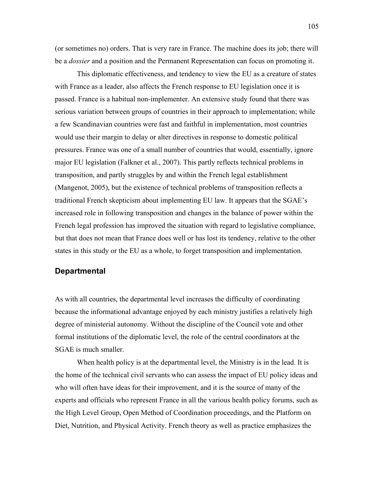(or sometimes no) orders. That is very rare in France. The machine does its job; there will be a *dossier* and a position and the Permanent Representation can focus on promoting it.

This diplomatic effectiveness, and tendency to view the EU as a creature of states with France as a leader, also affects the French response to EU legislation once it is passed. France is a habitual non-implementer. An extensive study found that there was serious variation between groups of countries in their approach to implementation; while a few Scandinavian countries were fast and faithful in implementation, most countries would use their margin to delay or alter directives in response to domestic political pressures. France was one of a small number of countries that would, essentially, ignore major EU legislation (Falkner et al., 2007). This partly reflects technical problems in transposition, and partly struggles by and within the French legal establishment (Mangenot, 2005), but the existence of technical problems of transposition reflects a traditional French skepticism about implementing EU law. It appears that the SGAE's increased role in following transposition and changes in the balance of power within the French legal profession has improved the situation with regard to legislative compliance, but that does not mean that France does well or has lost its tendency, relative to the other states in this study or the EU as a whole, to forget transposition and implementation.

#### **Departmental**

As with all countries, the departmental level increases the difficulty of coordinating because the informational advantage enjoyed by each ministry justifies a relatively high degree of ministerial autonomy. Without the discipline of the Council vote and other formal institutions of the diplomatic level, the role of the central coordinators at the SGAE is much smaller.

When health policy is at the departmental level, the Ministry is in the lead. It is the home of the technical civil servants who can assess the impact of EU policy ideas and who will often have ideas for their improvement, and it is the source of many of the experts and officials who represent France in all the various health policy forums, such as the High Level Group, Open Method of Coordination proceedings, and the Platform on Diet, Nutrition, and Physical Activity. French theory as well as practice emphasizes the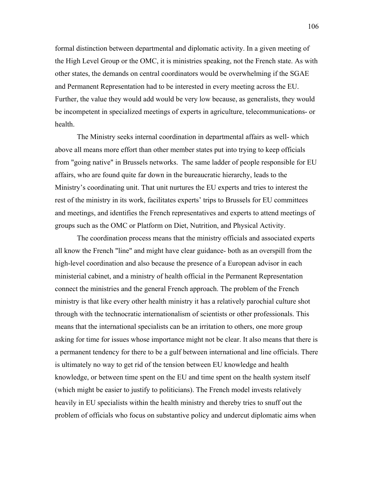formal distinction between departmental and diplomatic activity. In a given meeting of the High Level Group or the OMC, it is ministries speaking, not the French state. As with other states, the demands on central coordinators would be overwhelming if the SGAE and Permanent Representation had to be interested in every meeting across the EU. Further, the value they would add would be very low because, as generalists, they would be incompetent in specialized meetings of experts in agriculture, telecommunications- or health.

The Ministry seeks internal coordination in departmental affairs as well- which above all means more effort than other member states put into trying to keep officials from "going native" in Brussels networks. The same ladder of people responsible for EU affairs, who are found quite far down in the bureaucratic hierarchy, leads to the Ministry's coordinating unit. That unit nurtures the EU experts and tries to interest the rest of the ministry in its work, facilitates experts' trips to Brussels for EU committees and meetings, and identifies the French representatives and experts to attend meetings of groups such as the OMC or Platform on Diet, Nutrition, and Physical Activity.

The coordination process means that the ministry officials and associated experts all know the French "line" and might have clear guidance- both as an overspill from the high-level coordination and also because the presence of a European advisor in each ministerial cabinet, and a ministry of health official in the Permanent Representation connect the ministries and the general French approach. The problem of the French ministry is that like every other health ministry it has a relatively parochial culture shot through with the technocratic internationalism of scientists or other professionals. This means that the international specialists can be an irritation to others, one more group asking for time for issues whose importance might not be clear. It also means that there is a permanent tendency for there to be a gulf between international and line officials. There is ultimately no way to get rid of the tension between EU knowledge and health knowledge, or between time spent on the EU and time spent on the health system itself (which might be easier to justify to politicians). The French model invests relatively heavily in EU specialists within the health ministry and thereby tries to snuff out the problem of officials who focus on substantive policy and undercut diplomatic aims when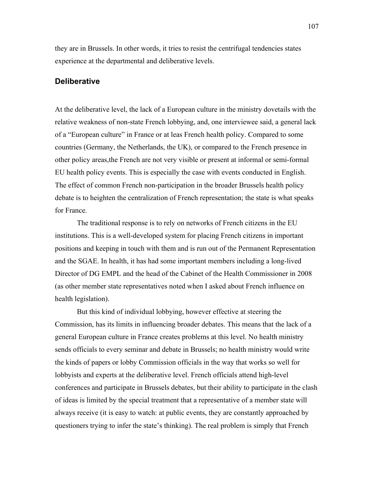they are in Brussels. In other words, it tries to resist the centrifugal tendencies states experience at the departmental and deliberative levels.

#### **Deliberative**

At the deliberative level, the lack of a European culture in the ministry dovetails with the relative weakness of non-state French lobbying, and, one interviewee said, a general lack of a "European culture" in France or at leas French health policy. Compared to some countries (Germany, the Netherlands, the UK), or compared to the French presence in other policy areas,the French are not very visible or present at informal or semi-formal EU health policy events. This is especially the case with events conducted in English. The effect of common French non-participation in the broader Brussels health policy debate is to heighten the centralization of French representation; the state is what speaks for France.

The traditional response is to rely on networks of French citizens in the EU institutions. This is a well-developed system for placing French citizens in important positions and keeping in touch with them and is run out of the Permanent Representation and the SGAE. In health, it has had some important members including a long-lived Director of DG EMPL and the head of the Cabinet of the Health Commissioner in 2008 (as other member state representatives noted when I asked about French influence on health legislation).

But this kind of individual lobbying, however effective at steering the Commission, has its limits in influencing broader debates. This means that the lack of a general European culture in France creates problems at this level. No health ministry sends officials to every seminar and debate in Brussels; no health ministry would write the kinds of papers or lobby Commission officials in the way that works so well for lobbyists and experts at the deliberative level. French officials attend high-level conferences and participate in Brussels debates, but their ability to participate in the clash of ideas is limited by the special treatment that a representative of a member state will always receive (it is easy to watch: at public events, they are constantly approached by questioners trying to infer the state's thinking). The real problem is simply that French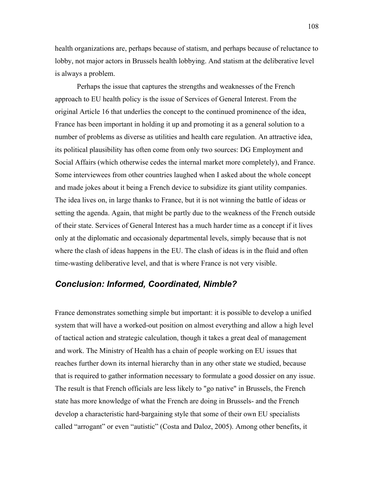health organizations are, perhaps because of statism, and perhaps because of reluctance to lobby, not major actors in Brussels health lobbying. And statism at the deliberative level is always a problem.

Perhaps the issue that captures the strengths and weaknesses of the French approach to EU health policy is the issue of Services of General Interest. From the original Article 16 that underlies the concept to the continued prominence of the idea, France has been important in holding it up and promoting it as a general solution to a number of problems as diverse as utilities and health care regulation. An attractive idea, its political plausibility has often come from only two sources: DG Employment and Social Affairs (which otherwise cedes the internal market more completely), and France. Some interviewees from other countries laughed when I asked about the whole concept and made jokes about it being a French device to subsidize its giant utility companies. The idea lives on, in large thanks to France, but it is not winning the battle of ideas or setting the agenda. Again, that might be partly due to the weakness of the French outside of their state. Services of General Interest has a much harder time as a concept if it lives only at the diplomatic and occasionaly departmental levels, simply because that is not where the clash of ideas happens in the EU. The clash of ideas is in the fluid and often time-wasting deliberative level, and that is where France is not very visible.

## *Conclusion: Informed, Coordinated, Nimble?*

France demonstrates something simple but important: it is possible to develop a unified system that will have a worked-out position on almost everything and allow a high level of tactical action and strategic calculation, though it takes a great deal of management and work. The Ministry of Health has a chain of people working on EU issues that reaches further down its internal hierarchy than in any other state we studied, because that is required to gather information necessary to formulate a good dossier on any issue. The result is that French officials are less likely to "go native" in Brussels, the French state has more knowledge of what the French are doing in Brussels- and the French develop a characteristic hard-bargaining style that some of their own EU specialists called "arrogant" or even "autistic" (Costa and Daloz, 2005). Among other benefits, it